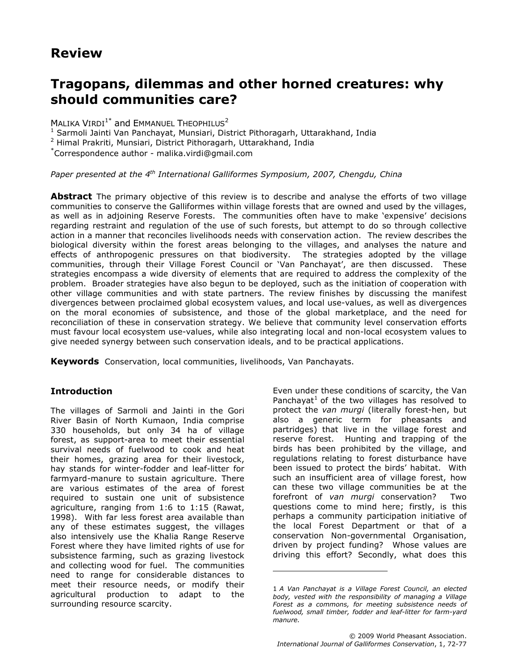## Review

# Tragopans, dilemmas and other horned creatures: why should communities care?

MALIKA VIRDI<sup>1\*</sup> and EMMANUEL THEOPHILUS<sup>2</sup>

<sup>1</sup> Sarmoli Jainti Van Panchayat, Munsiari, District Pithoragarh, Uttarakhand, India

2 Himal Prakriti, Munsiari, District Pithoragarh, Uttarakhand, India

\*Correspondence author - malika.virdi@gmail.com

Paper presented at the  $4<sup>th</sup>$  International Galliformes Symposium, 2007, Chengdu, China

**Abstract** The primary objective of this review is to describe and analyse the efforts of two village communities to conserve the Galliformes within village forests that are owned and used by the villages, as well as in adjoining Reserve Forests. The communities often have to make 'expensive' decisions regarding restraint and regulation of the use of such forests, but attempt to do so through collective action in a manner that reconciles livelihoods needs with conservation action. The review describes the biological diversity within the forest areas belonging to the villages, and analyses the nature and effects of anthropogenic pressures on that biodiversity. The strategies adopted by the village communities, through their Village Forest Council or 'Van Panchayat', are then discussed. These strategies encompass a wide diversity of elements that are required to address the complexity of the problem. Broader strategies have also begun to be deployed, such as the initiation of cooperation with other village communities and with state partners. The review finishes by discussing the manifest divergences between proclaimed global ecosystem values, and local use-values, as well as divergences on the moral economies of subsistence, and those of the global marketplace, and the need for reconciliation of these in conservation strategy. We believe that community level conservation efforts must favour local ecosystem use-values, while also integrating local and non-local ecosystem values to give needed synergy between such conservation ideals, and to be practical applications.

f,

Keywords Conservation, local communities, livelihoods, Van Panchayats.

## **Introduction**

The villages of Sarmoli and Jainti in the Gori River Basin of North Kumaon, India comprise 330 households, but only 34 ha of village forest, as support-area to meet their essential survival needs of fuelwood to cook and heat their homes, grazing area for their livestock, hay stands for winter-fodder and leaf-litter for farmyard-manure to sustain agriculture. There are various estimates of the area of forest required to sustain one unit of subsistence agriculture, ranging from 1:6 to 1:15 (Rawat, 1998). With far less forest area available than any of these estimates suggest, the villages also intensively use the Khalia Range Reserve Forest where they have limited rights of use for subsistence farming, such as grazing livestock and collecting wood for fuel. The communities need to range for considerable distances to meet their resource needs, or modify their agricultural production to adapt to the surrounding resource scarcity.

Even under these conditions of scarcity, the Van Panchayat<sup>1</sup> of the two villages has resolved to protect the van murgi (literally forest-hen, but also a generic term for pheasants and partridges) that live in the village forest and reserve forest. Hunting and trapping of the birds has been prohibited by the village, and regulations relating to forest disturbance have been issued to protect the birds' habitat. With such an insufficient area of village forest, how can these two village communities be at the forefront of van murgi conservation? Two questions come to mind here; firstly, is this perhaps a community participation initiative of the local Forest Department or that of a conservation Non-governmental Organisation, driven by project funding? Whose values are driving this effort? Secondly, what does this

<sup>1</sup> A Van Panchayat is a Village Forest Council, an elected body, vested with the responsibility of managing a Village Forest as a commons, for meeting subsistence needs of fuelwood, small timber, fodder and leaf-litter for farm-yard manure.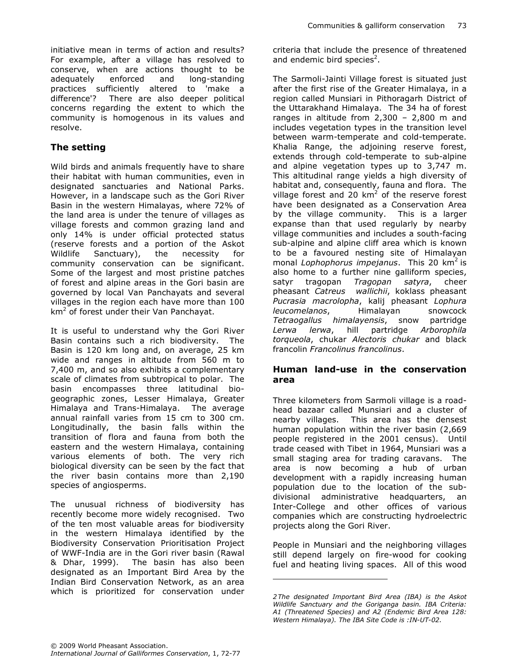## The setting

Wild birds and animals frequently have to share their habitat with human communities, even in designated sanctuaries and National Parks. However, in a landscape such as the Gori River Basin in the western Himalayas, where 72% of the land area is under the tenure of villages as village forests and common grazing land and only 14% is under official protected status (reserve forests and a portion of the Askot Wildlife Sanctuary), the necessity for community conservation can be significant. Some of the largest and most pristine patches of forest and alpine areas in the Gori basin are governed by local Van Panchayats and several villages in the region each have more than 100 km<sup>2</sup> of forest under their Van Panchayat.

It is useful to understand why the Gori River Basin contains such a rich biodiversity. The Basin is 120 km long and, on average, 25 km wide and ranges in altitude from 560 m to 7,400 m, and so also exhibits a complementary scale of climates from subtropical to polar. The basin encompasses three latitudinal biogeographic zones, Lesser Himalaya, Greater Himalaya and Trans-Himalaya. The average annual rainfall varies from 15 cm to 300 cm. Longitudinally, the basin falls within the transition of flora and fauna from both the eastern and the western Himalaya, containing various elements of both. The very rich biological diversity can be seen by the fact that the river basin contains more than 2,190 species of angiosperms.

The unusual richness of biodiversity has recently become more widely recognised. Two of the ten most valuable areas for biodiversity in the western Himalaya identified by the Biodiversity Conservation Prioritisation Project of WWF-India are in the Gori river basin (Rawal & Dhar, 1999). The basin has also been designated as an Important Bird Area by the Indian Bird Conservation Network, as an area which is prioritized for conservation under criteria that include the presence of threatened and endemic bird species<sup>2</sup>.

The Sarmoli-Jainti Village forest is situated just after the first rise of the Greater Himalaya, in a region called Munsiari in Pithoragarh District of the Uttarakhand Himalaya. The 34 ha of forest ranges in altitude from 2,300 – 2,800 m and includes vegetation types in the transition level between warm-temperate and cold-temperate. Khalia Range, the adjoining reserve forest, extends through cold-temperate to sub-alpine and alpine vegetation types up to 3,747 m. This altitudinal range yields a high diversity of habitat and, consequently, fauna and flora. The village forest and 20  $km^2$  of the reserve forest have been designated as a Conservation Area by the village community. This is a larger expanse than that used regularly by nearby village communities and includes a south-facing sub-alpine and alpine cliff area which is known to be a favoured nesting site of Himalayan monal Lophophorus impejanus. This 20  $km^2$  is also home to a further nine galliform species, satyr tragopan Tragopan satyra, cheer pheasant Catreus wallichii, koklass pheasant Pucrasia macrolopha, kalij pheasant Lophura leucomelanos, Himalayan snowcock Tetraogallus himalayensis, snow partridge Lerwa lerwa, hill partridge Arborophila torqueola, chukar Alectoris chukar and black francolin Francolinus francolinus.

#### Human land-use in the conservation area

Three kilometers from Sarmoli village is a roadhead bazaar called Munsiari and a cluster of nearby villages. This area has the densest human population within the river basin (2,669 people registered in the 2001 census). Until trade ceased with Tibet in 1964, Munsiari was a small staging area for trading caravans. The area is now becoming a hub of urban development with a rapidly increasing human population due to the location of the subdivisional administrative headquarters, an Inter-College and other offices of various companies which are constructing hydroelectric projects along the Gori River.

People in Munsiari and the neighboring villages still depend largely on fire-wood for cooking fuel and heating living spaces. All of this wood

 $\overline{a}$ 

<sup>2</sup> The designated Important Bird Area (IBA) is the Askot Wildlife Sanctuary and the Goriganga basin. IBA Criteria: A1 (Threatened Species) and A2 (Endemic Bird Area 128: Western Himalaya). The IBA Site Code is :IN-UT-02.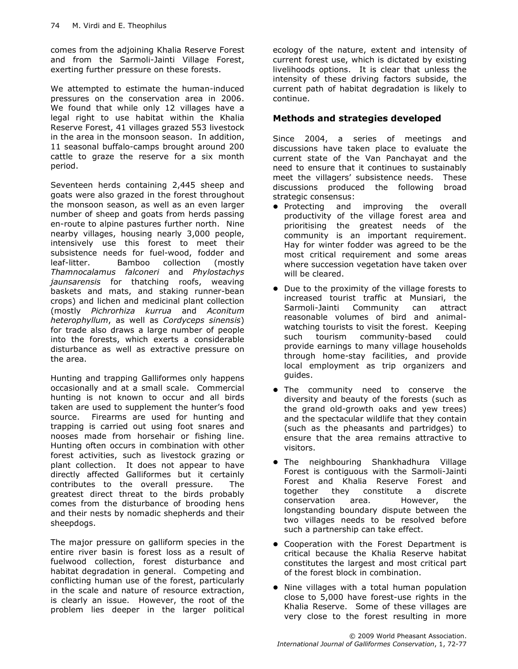comes from the adjoining Khalia Reserve Forest and from the Sarmoli-Jainti Village Forest, exerting further pressure on these forests.

We attempted to estimate the human-induced pressures on the conservation area in 2006. We found that while only 12 villages have a legal right to use habitat within the Khalia Reserve Forest, 41 villages grazed 553 livestock in the area in the monsoon season. In addition, 11 seasonal buffalo-camps brought around 200 cattle to graze the reserve for a six month period.

Seventeen herds containing 2,445 sheep and goats were also grazed in the forest throughout the monsoon season, as well as an even larger number of sheep and goats from herds passing en-route to alpine pastures further north. Nine nearby villages, housing nearly 3,000 people, intensively use this forest to meet their subsistence needs for fuel-wood, fodder and leaf-litter. Bamboo collection (mostly Thamnocalamus falconeri and Phylostachys jaunsarensis for thatching roofs, weaving baskets and mats, and staking runner-bean crops) and lichen and medicinal plant collection (mostly Pichrorhiza kurrua and Aconitum heterophyllum, as well as Cordyceps sinensis) for trade also draws a large number of people into the forests, which exerts a considerable disturbance as well as extractive pressure on the area.

Hunting and trapping Galliformes only happens occasionally and at a small scale. Commercial hunting is not known to occur and all birds taken are used to supplement the hunter's food source. Firearms are used for hunting and trapping is carried out using foot snares and nooses made from horsehair or fishing line. Hunting often occurs in combination with other forest activities, such as livestock grazing or plant collection. It does not appear to have directly affected Galliformes but it certainly contributes to the overall pressure. The greatest direct threat to the birds probably comes from the disturbance of brooding hens and their nests by nomadic shepherds and their sheepdogs.

The major pressure on galliform species in the entire river basin is forest loss as a result of fuelwood collection, forest disturbance and habitat degradation in general. Competing and conflicting human use of the forest, particularly in the scale and nature of resource extraction, is clearly an issue. However, the root of the problem lies deeper in the larger political ecology of the nature, extent and intensity of current forest use, which is dictated by existing livelihoods options. It is clear that unless the intensity of these driving factors subside, the current path of habitat degradation is likely to continue.

### Methods and strategies developed

Since 2004, a series of meetings and discussions have taken place to evaluate the current state of the Van Panchayat and the need to ensure that it continues to sustainably meet the villagers' subsistence needs. These discussions produced the following broad strategic consensus:

- Protecting and improving the overall productivity of the village forest area and prioritising the greatest needs of the community is an important requirement. Hay for winter fodder was agreed to be the most critical requirement and some areas where succession vegetation have taken over will be cleared.
- Due to the proximity of the village forests to increased tourist traffic at Munsiari, the Sarmoli-Jainti Community can attract reasonable volumes of bird and animalwatching tourists to visit the forest. Keeping such tourism community-based could provide earnings to many village households through home-stay facilities, and provide local employment as trip organizers and guides.
- The community need to conserve the diversity and beauty of the forests (such as the grand old-growth oaks and yew trees) and the spectacular wildlife that they contain (such as the pheasants and partridges) to ensure that the area remains attractive to visitors.
- **•** The neighbouring Shankhadhura Village Forest is contiguous with the Sarmoli-Jainti Forest and Khalia Reserve Forest and together they constitute a discrete conservation area. However, the longstanding boundary dispute between the two villages needs to be resolved before such a partnership can take effect.
- Cooperation with the Forest Department is critical because the Khalia Reserve habitat constitutes the largest and most critical part of the forest block in combination.
- Nine villages with a total human population close to 5,000 have forest-use rights in the Khalia Reserve. Some of these villages are very close to the forest resulting in more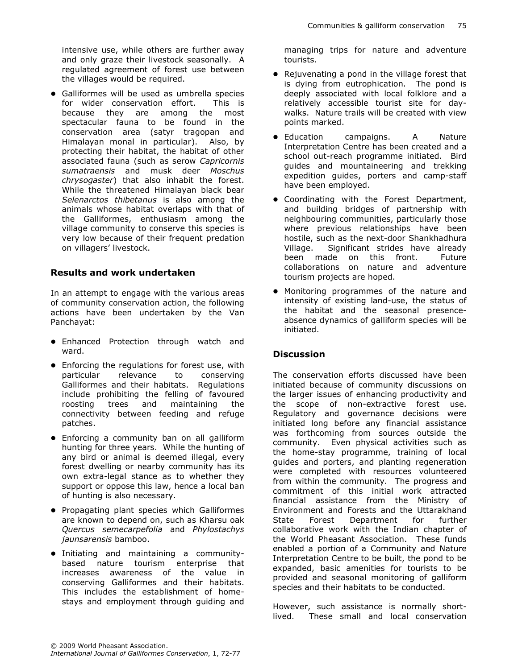intensive use, while others are further away and only graze their livestock seasonally. A regulated agreement of forest use between the villages would be required.

 Galliformes will be used as umbrella species for wider conservation effort. This is because they are among the most spectacular fauna to be found in the conservation area (satyr tragopan and Himalayan monal in particular). Also, by protecting their habitat, the habitat of other associated fauna (such as serow Capricornis sumatraensis and musk deer Moschus chrysogaster) that also inhabit the forest. While the threatened Himalayan black bear Selenarctos thibetanus is also among the animals whose habitat overlaps with that of the Galliformes, enthusiasm among the village community to conserve this species is very low because of their frequent predation on villagers' livestock.

## Results and work undertaken

In an attempt to engage with the various areas of community conservation action, the following actions have been undertaken by the Van Panchayat:

- Enhanced Protection through watch and ward.
- Enforcing the regulations for forest use, with particular relevance to conserving Galliformes and their habitats. Regulations include prohibiting the felling of favoured roosting trees and maintaining the connectivity between feeding and refuge patches.
- Enforcing a community ban on all galliform hunting for three years. While the hunting of any bird or animal is deemed illegal, every forest dwelling or nearby community has its own extra-legal stance as to whether they support or oppose this law, hence a local ban of hunting is also necessary.
- Propagating plant species which Galliformes are known to depend on, such as Kharsu oak Quercus semecarpefolia and Phylostachys jaunsarensis bamboo.
- Initiating and maintaining a communitybased nature tourism enterprise that increases awareness of the value in conserving Galliformes and their habitats. This includes the establishment of homestays and employment through guiding and

managing trips for nature and adventure tourists.

- Rejuvenating a pond in the village forest that is dying from eutrophication. The pond is deeply associated with local folklore and a relatively accessible tourist site for daywalks. Nature trails will be created with view points marked.
- Education campaigns. A Nature Interpretation Centre has been created and a school out-reach programme initiated. Bird guides and mountaineering and trekking expedition guides, porters and camp-staff have been employed.
- Coordinating with the Forest Department, and building bridges of partnership with neighbouring communities, particularly those where previous relationships have been hostile, such as the next-door Shankhadhura Village. Significant strides have already been made on this front. Future collaborations on nature and adventure tourism projects are hoped.
- Monitoring programmes of the nature and intensity of existing land-use, the status of the habitat and the seasonal presenceabsence dynamics of galliform species will be initiated.

## **Discussion**

The conservation efforts discussed have been initiated because of community discussions on the larger issues of enhancing productivity and the scope of non-extractive forest use. Regulatory and governance decisions were initiated long before any financial assistance was forthcoming from sources outside the community. Even physical activities such as the home-stay programme, training of local guides and porters, and planting regeneration were completed with resources volunteered from within the community. The progress and commitment of this initial work attracted financial assistance from the Ministry of Environment and Forests and the Uttarakhand State Forest Department for further collaborative work with the Indian chapter of the World Pheasant Association. These funds enabled a portion of a Community and Nature Interpretation Centre to be built, the pond to be expanded, basic amenities for tourists to be provided and seasonal monitoring of galliform species and their habitats to be conducted.

However, such assistance is normally shortlived. These small and local conservation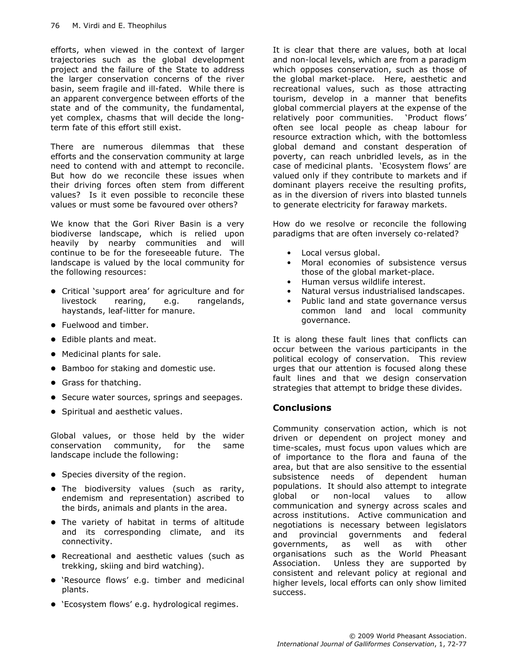efforts, when viewed in the context of larger trajectories such as the global development project and the failure of the State to address the larger conservation concerns of the river basin, seem fragile and ill-fated. While there is an apparent convergence between efforts of the state and of the community, the fundamental, yet complex, chasms that will decide the longterm fate of this effort still exist.

There are numerous dilemmas that these efforts and the conservation community at large need to contend with and attempt to reconcile. But how do we reconcile these issues when their driving forces often stem from different values? Is it even possible to reconcile these values or must some be favoured over others?

We know that the Gori River Basin is a very biodiverse landscape, which is relied upon heavily by nearby communities and will continue to be for the foreseeable future. The landscape is valued by the local community for the following resources:

- Critical 'support area' for agriculture and for livestock rearing, e.g. rangelands, haystands, leaf-litter for manure.
- Fuelwood and timber.
- Edible plants and meat.
- Medicinal plants for sale.
- Bamboo for staking and domestic use.
- Grass for thatching.
- Secure water sources, springs and seepages.
- Spiritual and aesthetic values.

Global values, or those held by the wider conservation community, for the same landscape include the following:

- Species diversity of the region.
- The biodiversity values (such as rarity, endemism and representation) ascribed to the birds, animals and plants in the area.
- The variety of habitat in terms of altitude and its corresponding climate, and its connectivity.
- Recreational and aesthetic values (such as trekking, skiing and bird watching).
- 'Resource flows' e.g. timber and medicinal plants.
- 'Ecosystem flows' e.g. hydrological regimes.

It is clear that there are values, both at local and non-local levels, which are from a paradigm which opposes conservation, such as those of the global market-place. Here, aesthetic and recreational values, such as those attracting tourism, develop in a manner that benefits global commercial players at the expense of the relatively poor communities. 'Product flows' often see local people as cheap labour for resource extraction which, with the bottomless global demand and constant desperation of poverty, can reach unbridled levels, as in the case of medicinal plants. 'Ecosystem flows' are valued only if they contribute to markets and if dominant players receive the resulting profits, as in the diversion of rivers into blasted tunnels to generate electricity for faraway markets.

How do we resolve or reconcile the following paradigms that are often inversely co-related?

- Local versus global.
- Moral economies of subsistence versus those of the global market-place.
- Human versus wildlife interest.
- Natural versus industrialised landscapes.
- Public land and state governance versus common land and local community governance.

It is along these fault lines that conflicts can occur between the various participants in the political ecology of conservation. This review urges that our attention is focused along these fault lines and that we design conservation strategies that attempt to bridge these divides.

## **Conclusions**

Community conservation action, which is not driven or dependent on project money and time-scales, must focus upon values which are of importance to the flora and fauna of the area, but that are also sensitive to the essential subsistence needs of dependent human populations. It should also attempt to integrate global or non-local values to allow communication and synergy across scales and across institutions. Active communication and negotiations is necessary between legislators and provincial governments and federal governments, as well as with other organisations such as the World Pheasant Association. Unless they are supported by consistent and relevant policy at regional and higher levels, local efforts can only show limited success.